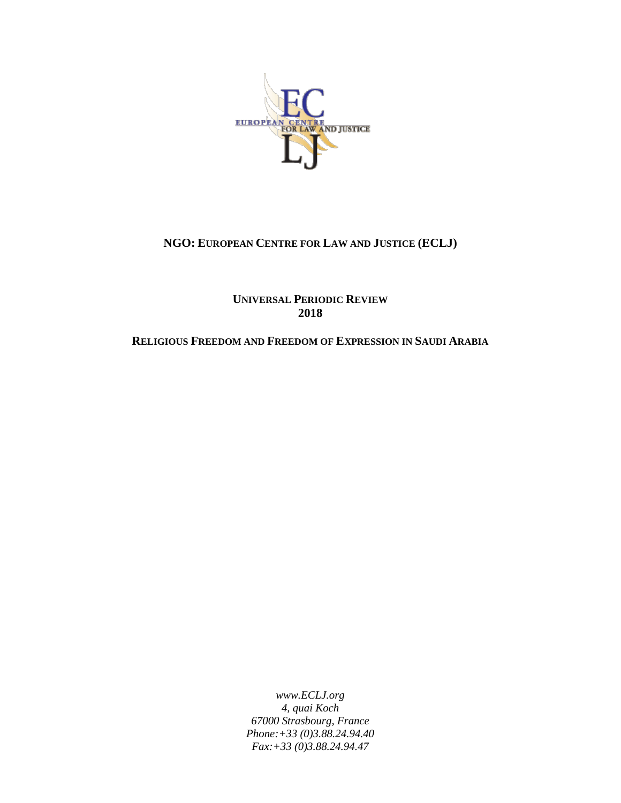

# **NGO: EUROPEAN CENTRE FOR LAW AND JUSTICE (ECLJ)**

**UNIVERSAL PERIODIC REVIEW 2018**

#### **RELIGIOUS FREEDOM AND FREEDOM OF EXPRESSION IN SAUDI ARABIA**

*www.ECLJ.org 4, quai Koch 67000 Strasbourg, France Phone:+33 (0)3.88.24.94.40 Fax:+33 (0)3.88.24.94.47*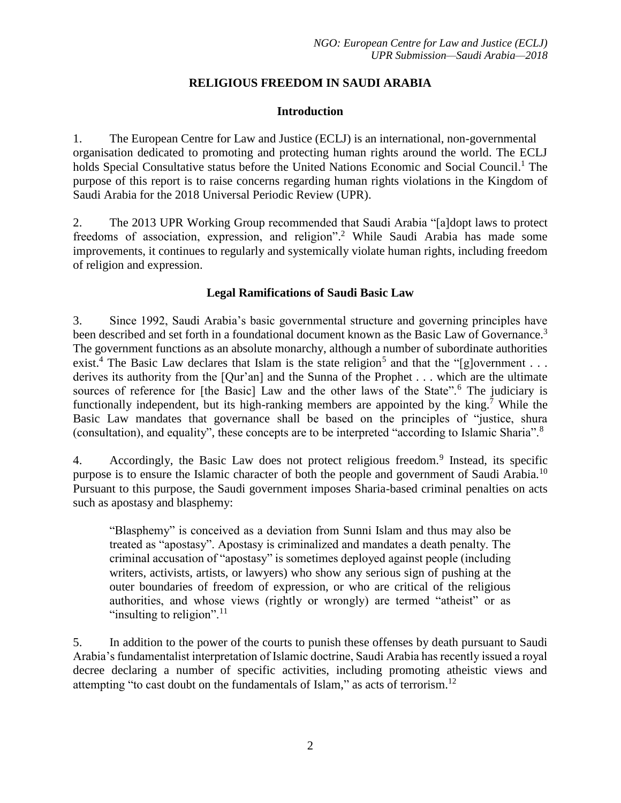# **RELIGIOUS FREEDOM IN SAUDI ARABIA**

### **Introduction**

1. The European Centre for Law and Justice (ECLJ) is an international, non-governmental organisation dedicated to promoting and protecting human rights around the world. The ECLJ holds Special Consultative status before the United Nations Economic and Social Council.<sup>1</sup> The purpose of this report is to raise concerns regarding human rights violations in the Kingdom of Saudi Arabia for the 2018 Universal Periodic Review (UPR).

2. The 2013 UPR Working Group recommended that Saudi Arabia "[a]dopt laws to protect freedoms of association, expression, and religion". <sup>2</sup> While Saudi Arabia has made some improvements, it continues to regularly and systemically violate human rights, including freedom of religion and expression.

### **Legal Ramifications of Saudi Basic Law**

3. Since 1992, Saudi Arabia's basic governmental structure and governing principles have been described and set forth in a foundational document known as the Basic Law of Governance.<sup>3</sup> The government functions as an absolute monarchy, although a number of subordinate authorities exist.<sup>4</sup> The Basic Law declares that Islam is the state religion<sup>5</sup> and that the "[g]overnment . . . derives its authority from the [Qur'an] and the Sunna of the Prophet . . . which are the ultimate sources of reference for [the Basic] Law and the other laws of the State".<sup>6</sup> The judiciary is functionally independent, but its high-ranking members are appointed by the king.<sup>7</sup> While the Basic Law mandates that governance shall be based on the principles of "justice, shura (consultation), and equality", these concepts are to be interpreted "according to Islamic Sharia".<sup>8</sup>

4. Accordingly, the Basic Law does not protect religious freedom.<sup>9</sup> Instead, its specific purpose is to ensure the Islamic character of both the people and government of Saudi Arabia.<sup>10</sup> Pursuant to this purpose, the Saudi government imposes Sharia-based criminal penalties on acts such as apostasy and blasphemy:

"Blasphemy" is conceived as a deviation from Sunni Islam and thus may also be treated as "apostasy". Apostasy is criminalized and mandates a death penalty. The criminal accusation of "apostasy" is sometimes deployed against people (including writers, activists, artists, or lawyers) who show any serious sign of pushing at the outer boundaries of freedom of expression, or who are critical of the religious authorities, and whose views (rightly or wrongly) are termed "atheist" or as "insulting to religion".<sup>11</sup>

5. In addition to the power of the courts to punish these offenses by death pursuant to Saudi Arabia's fundamentalist interpretation of Islamic doctrine, Saudi Arabia has recently issued a royal decree declaring a number of specific activities, including promoting atheistic views and attempting "to cast doubt on the fundamentals of Islam," as acts of terrorism.<sup>12</sup>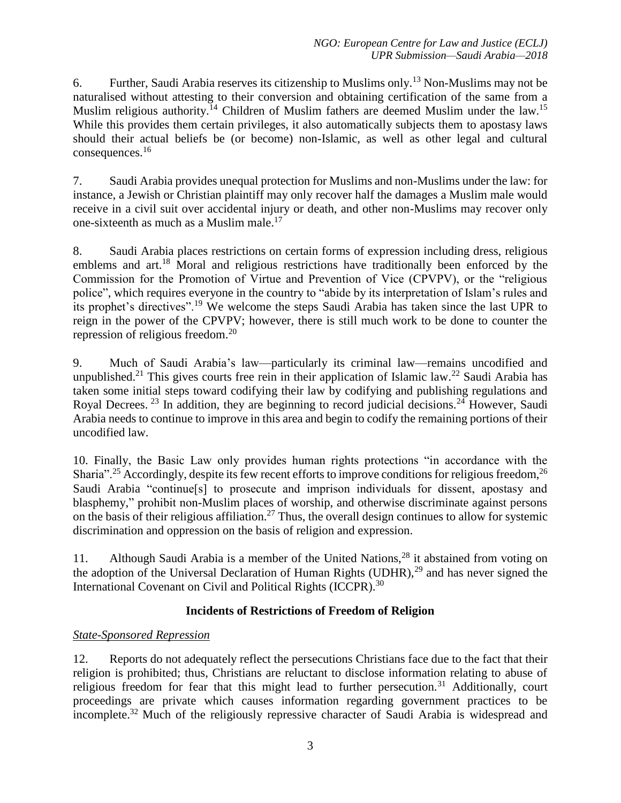6. Further, Saudi Arabia reserves its citizenship to Muslims only.<sup>13</sup> Non-Muslims may not be naturalised without attesting to their conversion and obtaining certification of the same from a Muslim religious authority.<sup>14</sup> Children of Muslim fathers are deemed Muslim under the law.<sup>15</sup> While this provides them certain privileges, it also automatically subjects them to apostasy laws should their actual beliefs be (or become) non-Islamic, as well as other legal and cultural consequences. 16

7. Saudi Arabia provides unequal protection for Muslims and non-Muslims under the law: for instance, a Jewish or Christian plaintiff may only recover half the damages a Muslim male would receive in a civil suit over accidental injury or death, and other non-Muslims may recover only one-sixteenth as much as a Muslim male.<sup>17</sup>

8. Saudi Arabia places restrictions on certain forms of expression including dress, religious emblems and art.<sup>18</sup> Moral and religious restrictions have traditionally been enforced by the Commission for the Promotion of Virtue and Prevention of Vice (CPVPV), or the "religious police", which requires everyone in the country to "abide by its interpretation of Islam's rules and its prophet's directives".<sup>19</sup> We welcome the steps Saudi Arabia has taken since the last UPR to reign in the power of the CPVPV; however, there is still much work to be done to counter the repression of religious freedom.<sup>20</sup>

9. Much of Saudi Arabia's law—particularly its criminal law—remains uncodified and unpublished.<sup>21</sup> This gives courts free rein in their application of Islamic law.<sup>22</sup> Saudi Arabia has taken some initial steps toward codifying their law by codifying and publishing regulations and Royal Decrees.  $^{23}$  In addition, they are beginning to record judicial decisions.  $^{24}$  However, Saudi Arabia needs to continue to improve in this area and begin to codify the remaining portions of their uncodified law.

10. Finally, the Basic Law only provides human rights protections "in accordance with the Sharia".<sup>25</sup> Accordingly, despite its few recent efforts to improve conditions for religious freedom,<sup>26</sup> Saudi Arabia "continue[s] to prosecute and imprison individuals for dissent, apostasy and blasphemy," prohibit non-Muslim places of worship, and otherwise discriminate against persons on the basis of their religious affiliation.<sup>27</sup> Thus, the overall design continues to allow for systemic discrimination and oppression on the basis of religion and expression.

11. Although Saudi Arabia is a member of the United Nations,  $^{28}$  it abstained from voting on the adoption of the Universal Declaration of Human Rights (UDHR),<sup>29</sup> and has never signed the International Covenant on Civil and Political Rights (ICCPR).<sup>30</sup>

# **Incidents of Restrictions of Freedom of Religion**

# *State-Sponsored Repression*

12. Reports do not adequately reflect the persecutions Christians face due to the fact that their religion is prohibited; thus, Christians are reluctant to disclose information relating to abuse of religious freedom for fear that this might lead to further persecution.<sup>31</sup> Additionally, court proceedings are private which causes information regarding government practices to be incomplete.<sup>32</sup> Much of the religiously repressive character of Saudi Arabia is widespread and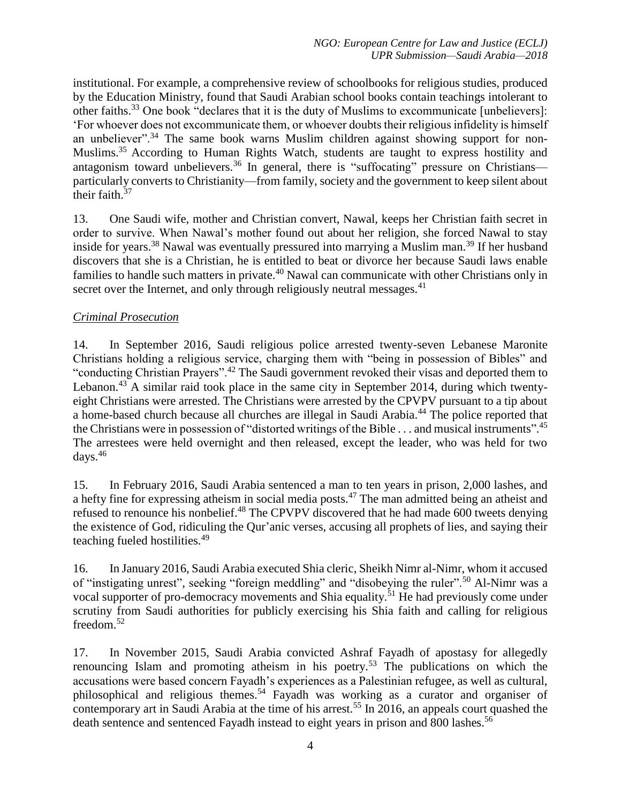institutional. For example, a comprehensive review of schoolbooks for religious studies, produced by the Education Ministry, found that Saudi Arabian school books contain teachings intolerant to other faiths.<sup>33</sup> One book "declares that it is the duty of Muslims to excommunicate [unbelievers]: 'For whoever does not excommunicate them, or whoever doubts their religious infidelity is himself an unbeliever".<sup>34</sup> The same book warns Muslim children against showing support for non-Muslims.<sup>35</sup> According to Human Rights Watch, students are taught to express hostility and antagonism toward unbelievers.<sup>36</sup> In general, there is "suffocating" pressure on Christians particularly converts to Christianity—from family, society and the government to keep silent about their faith.<sup>37</sup>

13. One Saudi wife, mother and Christian convert, Nawal, keeps her Christian faith secret in order to survive. When Nawal's mother found out about her religion, she forced Nawal to stay inside for years.<sup>38</sup> Nawal was eventually pressured into marrying a Muslim man.<sup>39</sup> If her husband discovers that she is a Christian, he is entitled to beat or divorce her because Saudi laws enable families to handle such matters in private.<sup>40</sup> Nawal can communicate with other Christians only in secret over the Internet, and only through religiously neutral messages.<sup>41</sup>

# *Criminal Prosecution*

14. In September 2016, Saudi religious police arrested twenty-seven Lebanese Maronite Christians holding a religious service, charging them with "being in possession of Bibles" and "conducting Christian Prayers".<sup>42</sup> The Saudi government revoked their visas and deported them to Lebanon.<sup>43</sup> A similar raid took place in the same city in September 2014, during which twentyeight Christians were arrested. The Christians were arrested by the CPVPV pursuant to a tip about a home-based church because all churches are illegal in Saudi Arabia.<sup>44</sup> The police reported that the Christians were in possession of "distorted writings of the Bible . . . and musical instruments".<sup>45</sup> The arrestees were held overnight and then released, except the leader, who was held for two days. $46$ 

15. In February 2016, Saudi Arabia sentenced a man to ten years in prison, 2,000 lashes, and a hefty fine for expressing atheism in social media posts.<sup>47</sup> The man admitted being an atheist and refused to renounce his nonbelief.<sup>48</sup> The CPVPV discovered that he had made 600 tweets denying the existence of God, ridiculing the Qur'anic verses, accusing all prophets of lies, and saying their teaching fueled hostilities.<sup>49</sup>

16. In January 2016, Saudi Arabia executed Shia cleric, Sheikh Nimr al-Nimr, whom it accused of "instigating unrest", seeking "foreign meddling" and "disobeying the ruler".<sup>50</sup> Al-Nimr was a vocal supporter of pro-democracy movements and Shia equality.<sup>51</sup> He had previously come under scrutiny from Saudi authorities for publicly exercising his Shia faith and calling for religious freedom.<sup>52</sup>

17. In November 2015, Saudi Arabia convicted Ashraf Fayadh of apostasy for allegedly renouncing Islam and promoting atheism in his poetry.<sup>53</sup> The publications on which the accusations were based concern Fayadh's experiences as a Palestinian refugee, as well as cultural, philosophical and religious themes.<sup>54</sup> Fayadh was working as a curator and organiser of contemporary art in Saudi Arabia at the time of his arrest.<sup>55</sup> In 2016, an appeals court quashed the death sentence and sentenced Fayadh instead to eight years in prison and 800 lashes.<sup>56</sup>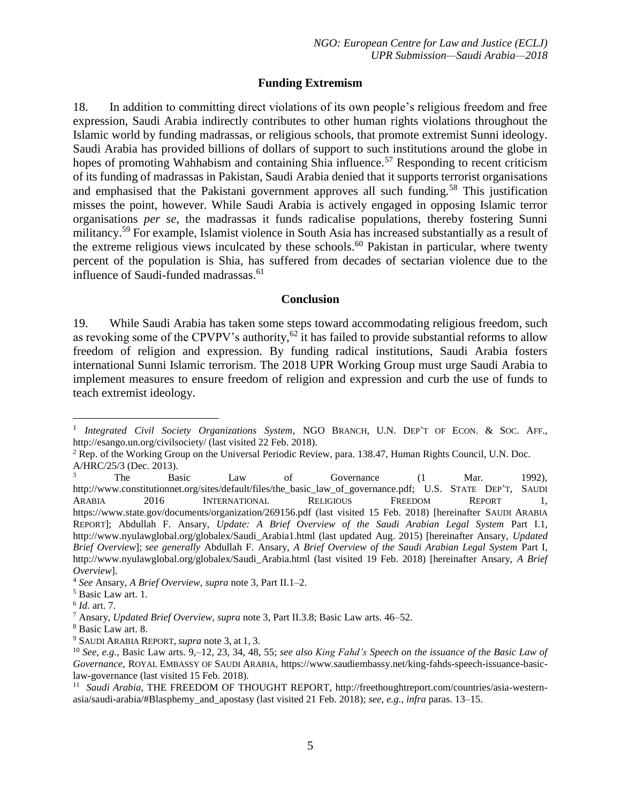### **Funding Extremism**

18. In addition to committing direct violations of its own people's religious freedom and free expression, Saudi Arabia indirectly contributes to other human rights violations throughout the Islamic world by funding madrassas, or religious schools, that promote extremist Sunni ideology. Saudi Arabia has provided billions of dollars of support to such institutions around the globe in hopes of promoting Wahhabism and containing Shia influence.<sup>57</sup> Responding to recent criticism of its funding of madrassas in Pakistan, Saudi Arabia denied that it supports terrorist organisations and emphasised that the Pakistani government approves all such funding.<sup>58</sup> This justification misses the point, however. While Saudi Arabia is actively engaged in opposing Islamic terror organisations *per se*, the madrassas it funds radicalise populations, thereby fostering Sunni militancy.<sup>59</sup> For example, Islamist violence in South Asia has increased substantially as a result of the extreme religious views inculcated by these schools.<sup>60</sup> Pakistan in particular, where twenty percent of the population is Shia, has suffered from decades of sectarian violence due to the influence of Saudi-funded madrassas.<sup>61</sup>

#### **Conclusion**

19. While Saudi Arabia has taken some steps toward accommodating religious freedom, such as revoking some of the CPVPV's authority,<sup>62</sup> it has failed to provide substantial reforms to allow freedom of religion and expression. By funding radical institutions, Saudi Arabia fosters international Sunni Islamic terrorism. The 2018 UPR Working Group must urge Saudi Arabia to implement measures to ensure freedom of religion and expression and curb the use of funds to teach extremist ideology.

 $\overline{a}$ 

<sup>&</sup>lt;sup>1</sup> Integrated Civil Society Organizations System, NGO BRANCH, U.N. DEP'T OF ECON. & SOC. AFF., http://esango.un.org/civilsociety/ (last visited 22 Feb. 2018).

<sup>2</sup> Rep. of the Working Group on the Universal Periodic Review, para. 138.47, Human Rights Council, U.N. Doc. A/HRC/25/3 (Dec. 2013).

 $3$  The Basic Law of Governance (1 Mar. 1992), http://www.constitutionnet.org/sites/default/files/the\_basic\_law\_of\_governance.pdf; U.S. STATE DEP'T, SAUDI ARABIA 2016 INTERNATIONAL RELIGIOUS FREEDOM REPORT 1, https://www.state.gov/documents/organization/269156.pdf (last visited 15 Feb. 2018) [hereinafter SAUDI ARABIA REPORT]; Abdullah F. Ansary, *Update: A Brief Overview of the Saudi Arabian Legal System* Part I.1, http://www.nyulawglobal.org/globalex/Saudi\_Arabia1.html (last updated Aug. 2015) [hereinafter Ansary, *Updated Brief Overview*]; *see generally* Abdullah F. Ansary, *A Brief Overview of the Saudi Arabian Legal System* Part I, http://www.nyulawglobal.org/globalex/Saudi\_Arabia.html (last visited 19 Feb. 2018) [hereinafter Ansary, *A Brief Overview*].

<sup>4</sup> *See* Ansary, *A Brief Overview*, *supra* note 3, Part II.1–2.

<sup>5</sup> Basic Law art. 1.

<sup>6</sup> *Id.* art. 7.

<sup>7</sup> Ansary, *Updated Brief Overview*, *supra* note 3, Part II.3.8; Basic Law arts. 46–52.

<sup>8</sup> Basic Law art. 8.

<sup>9</sup> SAUDI ARABIA REPORT, *supra* note 3, at 1, 3.

<sup>10</sup> *See, e.g.*, Basic Law arts. 9,–12, 23, 34, 48, 55; *see also King Fahd's Speech on the issuance of the Basic Law of Governance*, ROYAL EMBASSY OF SAUDI ARABIA, https://www.saudiembassy.net/king-fahds-speech-issuance-basiclaw-governance (last visited 15 Feb. 2018).

<sup>&</sup>lt;sup>11</sup> Saudi Arabia, THE FREEDOM OF THOUGHT REPORT, http://freethoughtreport.com/countries/asia-westernasia/saudi-arabia/#Blasphemy\_and\_apostasy (last visited 21 Feb. 2018); *see, e.g.*, *infra* paras. 13–15.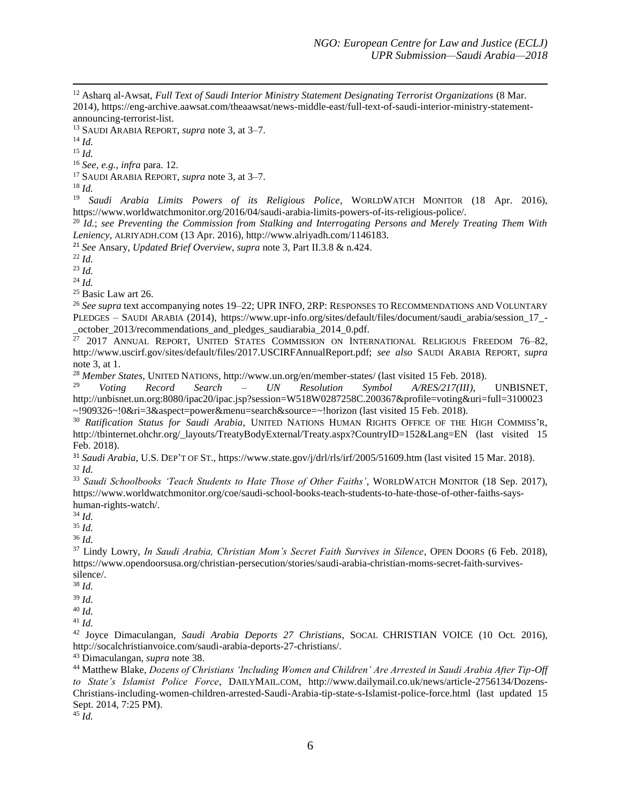<sup>12</sup> Asharq al-Awsat, *Full Text of Saudi Interior Ministry Statement Designating Terrorist Organizations* (8 Mar. 2014), https://eng-archive.aawsat.com/theaawsat/news-middle-east/full-text-of-saudi-interior-ministry-statementannouncing-terrorist-list.

<sup>13</sup> SAUDI ARABIA REPORT, *supra* note 3, at 3–7.

<sup>14</sup> *Id.*

 $\overline{\phantom{a}}$ 

<sup>15</sup> *Id.*

<sup>16</sup> *See, e.g.*, *infra* para. 12.

<sup>17</sup> SAUDI ARABIA REPORT, *supra* note 3, at 3–7.

<sup>18</sup> *Id.*

<sup>19</sup> *Saudi Arabia Limits Powers of its Religious Police*, WORLDWATCH MONITOR (18 Apr. 2016), https://www.worldwatchmonitor.org/2016/04/saudi-arabia-limits-powers-of-its-religious-police/.

<sup>20</sup> *Id.*; *see Preventing the Commission from Stalking and Interrogating Persons and Merely Treating Them With Leniency*, ALRIYADH.COM (13 Apr. 2016), http://www.alriyadh.com/1146183.

<sup>21</sup> *See* Ansary, *Updated Brief Overview*, *supra* note 3, Part II.3.8 & n.424.

<sup>22</sup> *Id.*

<sup>23</sup> *Id.*

 $^{24}$  *Id.* 

<sup>25</sup> Basic Law art 26.

<sup>26</sup> *See supra* text accompanying notes 19–22; UPR INFO, 2RP: RESPONSES TO RECOMMENDATIONS AND VOLUNTARY PLEDGES – SAUDI ARABIA (2014), https://www.upr-info.org/sites/default/files/document/saudi\_arabia/session\_17\_- \_october\_2013/recommendations\_and\_pledges\_saudiarabia\_2014\_0.pdf.

<sup>27</sup> 2017 ANNUAL REPORT, UNITED STATES COMMISSION ON INTERNATIONAL RELIGIOUS FREEDOM 76–82, http://www.uscirf.gov/sites/default/files/2017.USCIRFAnnualReport.pdf; *see also* SAUDI ARABIA REPORT, *supra* note 3, at 1.

<sup>28</sup> *Member States*, UNITED NATIONS, http://www.un.org/en/member-states/ (last visited 15 Feb. 2018).<br><sup>29</sup> *Voting Record* Search – *IN Resolution* Symbol *ARES*(217(*III*)

<sup>29</sup> *Voting Record Search – UN Resolution Symbol A/RES/217(III)*, UNBISNET, http://unbisnet.un.org:8080/ipac20/ipac.jsp?session=W518W0287258C.200367&profile=voting&uri=full=3100023 ~!909326~!0&ri=3&aspect=power&menu=search&source=~!horizon (last visited 15 Feb. 2018).

<sup>30</sup> *Ratification Status for Saudi Arabia*, UNITED NATIONS HUMAN RIGHTS OFFICE OF THE HIGH COMMISS'R, http://tbinternet.ohchr.org/\_layouts/TreatyBodyExternal/Treaty.aspx?CountryID=152&Lang=EN (last visited 15 Feb. 2018).

<sup>31</sup> *Saudi Arabia*, U.S. DEP'T OF ST., https://www.state.gov/j/drl/rls/irf/2005/51609.htm (last visited 15 Mar. 2018). <sup>32</sup> *Id.*

<sup>33</sup> *Saudi Schoolbooks 'Teach Students to Hate Those of Other Faiths'*, WORLDWATCH MONITOR (18 Sep. 2017), https://www.worldwatchmonitor.org/coe/saudi-school-books-teach-students-to-hate-those-of-other-faiths-sayshuman-rights-watch/.

<sup>34</sup> *Id.* 

<sup>35</sup> *Id.*

<sup>36</sup> *Id.*

<sup>37</sup> Lindy Lowry, *In Saudi Arabia, Christian Mom's Secret Faith Survives in Silence*, OPEN DOORS (6 Feb. 2018), https://www.opendoorsusa.org/christian-persecution/stories/saudi-arabia-christian-moms-secret-faith-survivessilence/.

<sup>38</sup> *Id.*

<sup>39</sup> *Id.*

<sup>40</sup> *Id.* 

<sup>41</sup> *Id.*

<sup>42</sup> Joyce Dimaculangan, *Saudi Arabia Deports 27 Christians*, SOCAL CHRISTIAN VOICE (10 Oct. 2016), http://socalchristianvoice.com/saudi-arabia-deports-27-christians/.

<sup>43</sup> Dimaculangan, *supra* note 38.

<sup>44</sup> Matthew Blake, *Dozens of Christians 'Including Women and Children' Are Arrested in Saudi Arabia After Tip-Off to State's Islamist Police Force*, DAILYMAIL.COM, http://www.dailymail.co.uk/news/article-2756134/Dozens-Christians-including-women-children-arrested-Saudi-Arabia-tip-state-s-Islamist-police-force.html (last updated 15 Sept. 2014, 7:25 PM).

<sup>45</sup> *Id.*